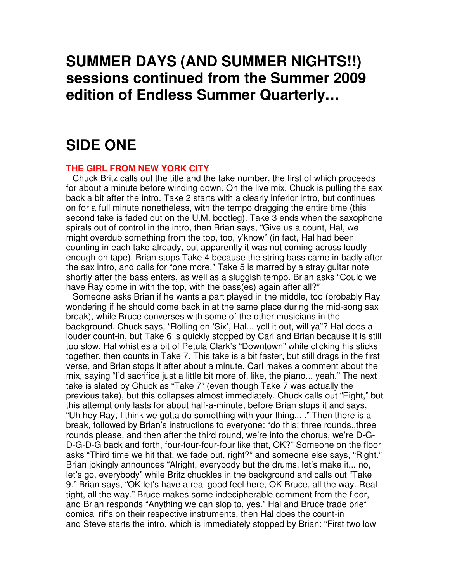# **SUMMER DAYS (AND SUMMER NIGHTS!!) sessions continued from the Summer 2009 edition of Endless Summer Quarterly…**

## **SIDE ONE**

### **THE GIRL FROM NEW YORK CITY**

Chuck Britz calls out the title and the take number, the first of which proceeds for about a minute before winding down. On the live mix, Chuck is pulling the sax back a bit after the intro. Take 2 starts with a clearly inferior intro, but continues on for a full minute nonetheless, with the tempo dragging the entire time (this second take is faded out on the U.M. bootleg). Take 3 ends when the saxophone spirals out of control in the intro, then Brian says, "Give us a count, Hal, we might overdub something from the top, too, y'know" (in fact, Hal had been counting in each take already, but apparently it was not coming across loudly enough on tape). Brian stops Take 4 because the string bass came in badly after the sax intro, and calls for "one more." Take 5 is marred by a stray guitar note shortly after the bass enters, as well as a sluggish tempo. Brian asks "Could we have Ray come in with the top, with the bass(es) again after all?"

Someone asks Brian if he wants a part played in the middle, too (probably Ray wondering if he should come back in at the same place during the mid-song sax break), while Bruce converses with some of the other musicians in the background. Chuck says, "Rolling on 'Six', Hal... yell it out, will ya"? Hal does a louder count-in, but Take 6 is quickly stopped by Carl and Brian because it is still too slow. Hal whistles a bit of Petula Clark's "Downtown" while clicking his sticks together, then counts in Take 7. This take is a bit faster, but still drags in the first verse, and Brian stops it after about a minute. Carl makes a comment about the mix, saying "I'd sacrifice just a little bit more of, like, the piano... yeah." The next take is slated by Chuck as "Take 7" (even though Take 7 was actually the previous take), but this collapses almost immediately. Chuck calls out "Eight," but this attempt only lasts for about half-a-minute, before Brian stops it and says, "Uh hey Ray, I think we gotta do something with your thing... ." Then there is a break, followed by Brian's instructions to everyone: "do this: three rounds..three rounds please, and then after the third round, we're into the chorus, we're D-G-D-G-D-G back and forth, four-four-four-four like that, OK?" Someone on the floor asks "Third time we hit that, we fade out, right?" and someone else says, "Right." Brian jokingly announces "Alright, everybody but the drums, let's make it... no, let's go, everybody" while Britz chuckles in the background and calls out "Take 9." Brian says, "OK let's have a real good feel here, OK Bruce, all the way. Real tight, all the way." Bruce makes some indecipherable comment from the floor, and Brian responds "Anything we can slop to, yes." Hal and Bruce trade brief comical riffs on their respective instruments, then Hal does the count-in and Steve starts the intro, which is immediately stopped by Brian: "First two low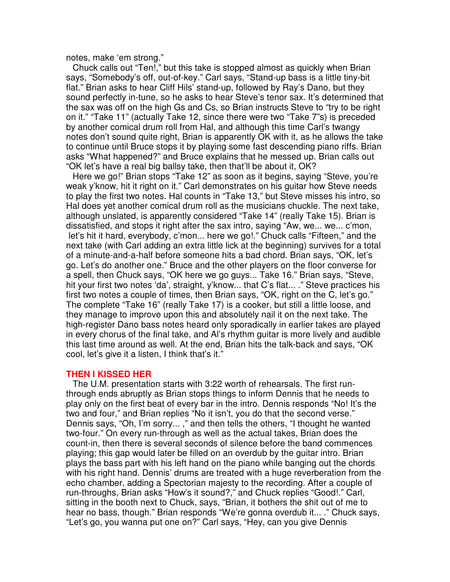notes, make 'em strong."

Chuck calls out "Ten!," but this take is stopped almost as quickly when Brian says, "Somebody's off, out-of-key." Carl says, "Stand-up bass is a little tiny-bit flat." Brian asks to hear Cliff Hils' stand-up, followed by Ray's Dano, but they sound perfectly in-tune, so he asks to hear Steve's tenor sax. It's determined that the sax was off on the high Gs and Cs, so Brian instructs Steve to "try to be right on it." "Take 11" (actually Take 12, since there were two "Take 7"s) is preceded by another comical drum roll from Hal, and although this time Carl's twangy notes don't sound quite right, Brian is apparently OK with it, as he allows the take to continue until Bruce stops it by playing some fast descending piano riffs. Brian asks "What happened?" and Bruce explains that he messed up. Brian calls out "OK let's have a real big ballsy take, then that'll be about it, OK?

Here we go!" Brian stops "Take 12" as soon as it begins, saying "Steve, you're weak y'know, hit it right on it." Carl demonstrates on his guitar how Steve needs to play the first two notes. Hal counts in "Take 13," but Steve misses his intro, so Hal does yet another comical drum roll as the musicians chuckle. The next take, although unslated, is apparently considered "Take 14" (really Take 15). Brian is dissatisfied, and stops it right after the sax intro, saying "Aw, we... we... c'mon, let's hit it hard, everybody, c'mon... here we go!." Chuck calls "Fifteen," and the next take (with Carl adding an extra little lick at the beginning) survives for a total of a minute-and-a-half before someone hits a bad chord. Brian says, "OK, let's go. Let's do another one." Bruce and the other players on the floor converse for a spell, then Chuck says, "OK here we go guys... Take 16." Brian says, "Steve, hit your first two notes 'da', straight, y'know... that C's flat... ." Steve practices his first two notes a couple of times, then Brian says, "OK, right on the C, let's go." The complete "Take 16" (really Take 17) is a cooker, but still a little loose, and they manage to improve upon this and absolutely nail it on the next take. The high-register Dano bass notes heard only sporadically in earlier takes are played in every chorus of the final take, and Al's rhythm guitar is more lively and audible this last time around as well. At the end, Brian hits the talk-back and says, "OK cool, let's give it a listen, I think that's it."

#### **THEN I KISSED HER**

The U.M. presentation starts with 3:22 worth of rehearsals. The first runthrough ends abruptly as Brian stops things to inform Dennis that he needs to play only on the first beat of every bar in the intro. Dennis responds "No! It's the two and four," and Brian replies "No it isn't, you do that the second verse." Dennis says, "Oh, I'm sorry... ," and then tells the others, "I thought he wanted two-four." On every run-through as well as the actual takes, Brian does the count-in, then there is several seconds of silence before the band commences playing; this gap would later be filled on an overdub by the guitar intro. Brian plays the bass part with his left hand on the piano while banging out the chords with his right hand. Dennis' drums are treated with a huge reverberation from the echo chamber, adding a Spectorian majesty to the recording. After a couple of run-throughs, Brian asks "How's it sound?," and Chuck replies "Good!." Carl, sitting in the booth next to Chuck, says, "Brian, it bothers the shit out of me to hear no bass, though." Brian responds "We're gonna overdub it... ." Chuck says, "Let's go, you wanna put one on?" Carl says, "Hey, can you give Dennis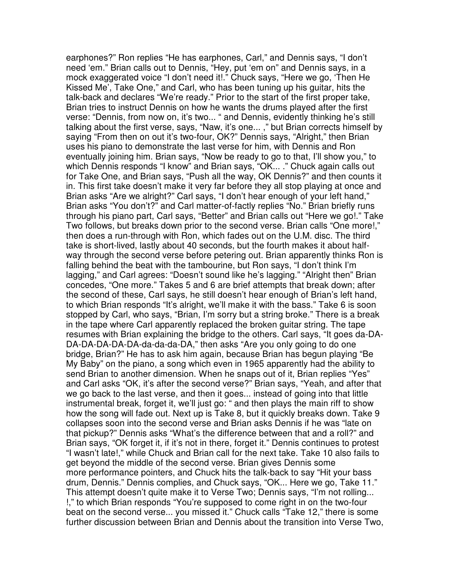earphones?" Ron replies "He has earphones, Carl," and Dennis says, "I don't need 'em." Brian calls out to Dennis, "Hey, put 'em on" and Dennis says, in a mock exaggerated voice "I don't need it!." Chuck says, "Here we go, 'Then He Kissed Me', Take One," and Carl, who has been tuning up his guitar, hits the talk-back and declares "We're ready." Prior to the start of the first proper take, Brian tries to instruct Dennis on how he wants the drums played after the first verse: "Dennis, from now on, it's two... " and Dennis, evidently thinking he's still talking about the first verse, says, "Naw, it's one... ," but Brian corrects himself by saying "From then on out it's two-four, OK?" Dennis says, "Alright," then Brian uses his piano to demonstrate the last verse for him, with Dennis and Ron eventually joining him. Brian says, "Now be ready to go to that, I'll show you," to which Dennis responds "I know" and Brian says, "OK... ." Chuck again calls out for Take One, and Brian says, "Push all the way, OK Dennis?" and then counts it in. This first take doesn't make it very far before they all stop playing at once and Brian asks "Are we alright?" Carl says, "I don't hear enough of your left hand," Brian asks "You don't?" and Carl matter-of-factly replies "No." Brian briefly runs through his piano part, Carl says, "Better" and Brian calls out "Here we go!." Take Two follows, but breaks down prior to the second verse. Brian calls "One more!," then does a run-through with Ron, which fades out on the U.M. disc. The third take is short-lived, lastly about 40 seconds, but the fourth makes it about halfway through the second verse before petering out. Brian apparently thinks Ron is falling behind the beat with the tambourine, but Ron says, "I don't think I'm lagging," and Carl agrees: "Doesn't sound like he's lagging." "Alright then" Brian concedes, "One more." Takes 5 and 6 are brief attempts that break down; after the second of these, Carl says, he still doesn't hear enough of Brian's left hand, to which Brian responds "It's alright, we'll make it with the bass." Take 6 is soon stopped by Carl, who says, "Brian, I'm sorry but a string broke." There is a break in the tape where Carl apparently replaced the broken guitar string. The tape resumes with Brian explaining the bridge to the others. Carl says, "It goes da-DA-DA-DA-DA-DA-DA-da-da-da-DA," then asks "Are you only going to do one bridge, Brian?" He has to ask him again, because Brian has begun playing "Be My Baby" on the piano, a song which even in 1965 apparently had the ability to send Brian to another dimension. When he snaps out of it, Brian replies "Yes" and Carl asks "OK, it's after the second verse?" Brian says, "Yeah, and after that we go back to the last verse, and then it goes... instead of going into that little instrumental break, forget it, we'll just go: " and then plays the main riff to show how the song will fade out. Next up is Take 8, but it quickly breaks down. Take 9 collapses soon into the second verse and Brian asks Dennis if he was "late on that pickup?" Dennis asks "What's the difference between that and a roll?" and Brian says, "OK forget it, if it's not in there, forget it." Dennis continues to protest "I wasn't late!," while Chuck and Brian call for the next take. Take 10 also fails to get beyond the middle of the second verse. Brian gives Dennis some more performance pointers, and Chuck hits the talk-back to say "Hit your bass drum, Dennis." Dennis complies, and Chuck says, "OK... Here we go, Take 11." This attempt doesn't quite make it to Verse Two; Dennis says, "I'm not rolling... !," to which Brian responds "You're supposed to come right in on the two-four beat on the second verse... you missed it." Chuck calls "Take 12," there is some further discussion between Brian and Dennis about the transition into Verse Two,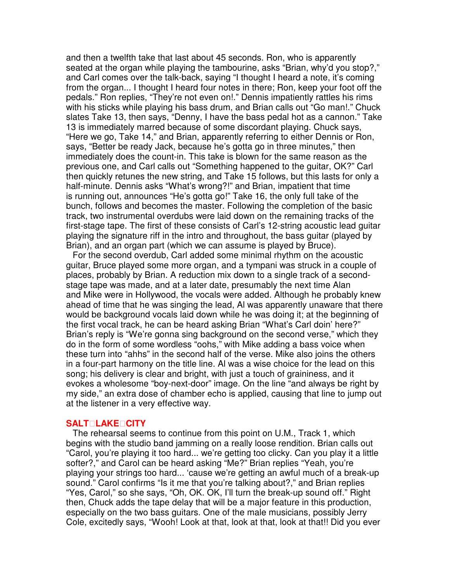and then a twelfth take that last about 45 seconds. Ron, who is apparently seated at the organ while playing the tambourine, asks "Brian, why'd you stop?," and Carl comes over the talk-back, saying "I thought I heard a note, it's coming from the organ... I thought I heard four notes in there; Ron, keep your foot off the pedals." Ron replies, "They're not even on!." Dennis impatiently rattles his rims with his sticks while playing his bass drum, and Brian calls out "Go man!." Chuck slates Take 13, then says, "Denny, I have the bass pedal hot as a cannon." Take 13 is immediately marred because of some discordant playing. Chuck says, "Here we go, Take 14," and Brian, apparently referring to either Dennis or Ron, says, "Better be ready Jack, because he's gotta go in three minutes," then immediately does the count-in. This take is blown for the same reason as the previous one, and Carl calls out "Something happened to the guitar, OK?" Carl then quickly retunes the new string, and Take 15 follows, but this lasts for only a half-minute. Dennis asks "What's wrong?!" and Brian, impatient that time is running out, announces "He's gotta go!" Take 16, the only full take of the bunch, follows and becomes the master. Following the completion of the basic track, two instrumental overdubs were laid down on the remaining tracks of the first-stage tape. The first of these consists of Carl's 12-string acoustic lead guitar playing the signature riff in the intro and throughout, the bass guitar (played by Brian), and an organ part (which we can assume is played by Bruce).

For the second overdub, Carl added some minimal rhythm on the acoustic guitar, Bruce played some more organ, and a tympani was struck in a couple of places, probably by Brian. A reduction mix down to a single track of a secondstage tape was made, and at a later date, presumably the next time Alan and Mike were in Hollywood, the vocals were added. Although he probably knew ahead of time that he was singing the lead, Al was apparently unaware that there would be background vocals laid down while he was doing it; at the beginning of the first vocal track, he can be heard asking Brian "What's Carl doin' here?" Brian's reply is "We're gonna sing background on the second verse," which they do in the form of some wordless "oohs," with Mike adding a bass voice when these turn into "ahhs" in the second half of the verse. Mike also joins the others in a four-part harmony on the title line. Al was a wise choice for the lead on this song; his delivery is clear and bright, with just a touch of graininess, and it evokes a wholesome "boy-next-door" image. On the line "and always be right by my side," an extra dose of chamber echo is applied, causing that line to jump out at the listener in a very effective way.

#### **SALTLAKECITY**

The rehearsal seems to continue from this point on U.M., Track 1, which begins with the studio band jamming on a really loose rendition. Brian calls out "Carol, you're playing it too hard... we're getting too clicky. Can you play it a little softer?," and Carol can be heard asking "Me?" Brian replies "Yeah, you're playing your strings too hard... 'cause we're getting an awful much of a break-up sound." Carol confirms "Is it me that you're talking about?," and Brian replies "Yes, Carol," so she says, "Oh, OK. OK, I'll turn the break-up sound off." Right then, Chuck adds the tape delay that will be a major feature in this production, especially on the two bass guitars. One of the male musicians, possibly Jerry Cole, excitedly says, "Wooh! Look at that, look at that, look at that!! Did you ever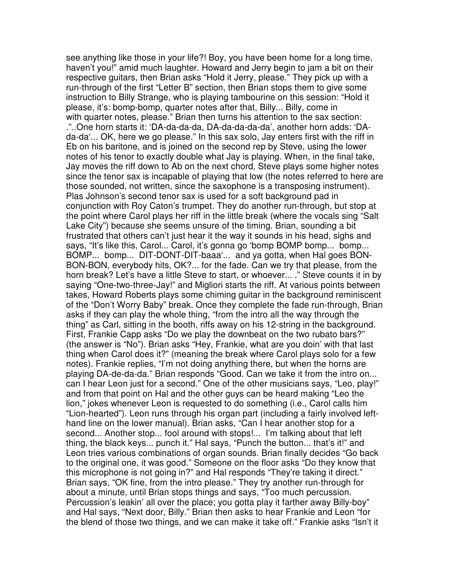see anything like those in your life?! Boy, you have been home for a long time, haven't you!" amid much laughter. Howard and Jerry begin to jam a bit on their respective guitars, then Brian asks "Hold it Jerry, please." They pick up with a run-through of the first "Letter B" section, then Brian stops them to give some instruction to Billy Strange, who is playing tambourine on this session: "Hold it please, it's: bomp-bomp, quarter notes after that, Billy... Billy, come in with quarter notes, please." Brian then turns his attention to the sax section: ."..One horn starts it: 'DA-da-da-da, DA-da-da-da-da', another horn adds: 'DAda-da'... OK, here we go please." In this sax solo, Jay enters first with the riff in Eb on his baritone, and is joined on the second rep by Steve, using the lower notes of his tenor to exactly double what Jay is playing. When, in the final take, Jay moves the riff down to Ab on the next chord, Steve plays some higher notes since the tenor sax is incapable of playing that low (the notes referred to here are those sounded, not written, since the saxophone is a transposing instrument). Plas Johnson's second tenor sax is used for a soft background pad in conjunction with Roy Caton's trumpet. They do another run-through, but stop at the point where Carol plays her riff in the little break (where the vocals sing "Salt Lake City") because she seems unsure of the timing. Brian, sounding a bit frustrated that others can't just hear it the way it sounds in his head, sighs and says, "It's like this, Carol... Carol, it's gonna go 'bomp BOMP bomp... bomp... BOMP... bomp... DIT-DONT-DIT-baaa'... and ya gotta, when Hal goes BON-BON-BON, everybody hits, OK?... for the fade. Can we try that please, from the horn break? Let's have a little Steve to start, or whoever... ." Steve counts it in by saying "One-two-three-Jay!" and Migliori starts the riff. At various points between takes, Howard Roberts plays some chiming guitar in the background reminiscent of the "Don't Worry Baby" break. Once they complete the fade run-through, Brian asks if they can play the whole thing, "from the intro all the way through the thing" as Carl, sitting in the booth, riffs away on his 12-string in the background. First, Frankie Capp asks "Do we play the downbeat on the two rubato bars?" (the answer is "No"). Brian asks "Hey, Frankie, what are you doin' with that last thing when Carol does it?" (meaning the break where Carol plays solo for a few notes). Frankie replies, "I'm not doing anything there, but when the horns are playing DA-de-da-da." Brian responds "Good. Can we take it from the intro on... can I hear Leon just for a second." One of the other musicians says, "Leo, play!" and from that point on Hal and the other guys can be heard making "Leo the lion," jokes whenever Leon is requested to do something (i.e., Carol calls him "Lion-hearted"). Leon runs through his organ part (including a fairly involved lefthand line on the lower manual). Brian asks, "Can I hear another stop for a second... Another stop... fool around with stops!... I'm talking about that left thing, the black keys... punch it." Hal says, "Punch the button... that's it!" and Leon tries various combinations of organ sounds. Brian finally decides "Go back to the original one, it was good." Someone on the floor asks "Do they know that this microphone is not going in?" and Hal responds "They're taking it direct." Brian says, "OK fine, from the intro please." They try another run-through for about a minute, until Brian stops things and says, "Too much percussion. Percussion's leakin' all over the place; you gotta play it farther away Billy-boy" and Hal says, "Next door, Billy." Brian then asks to hear Frankie and Leon "for the blend of those two things, and we can make it take off." Frankie asks "Isn't it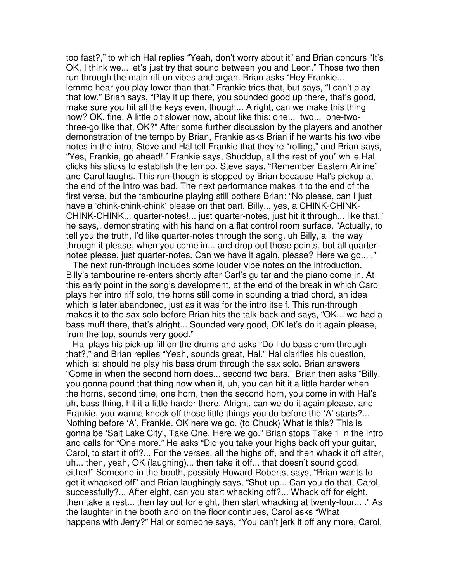too fast?," to which Hal replies "Yeah, don't worry about it" and Brian concurs "It's OK, I think we... let's just try that sound between you and Leon." Those two then run through the main riff on vibes and organ. Brian asks "Hey Frankie... lemme hear you play lower than that." Frankie tries that, but says, "I can't play that low." Brian says, "Play it up there, you sounded good up there, that's good, make sure you hit all the keys even, though... Alright, can we make this thing now? OK, fine. A little bit slower now, about like this: one... two... one-twothree-go like that, OK?" After some further discussion by the players and another demonstration of the tempo by Brian, Frankie asks Brian if he wants his two vibe notes in the intro, Steve and Hal tell Frankie that they're "rolling," and Brian says, "Yes, Frankie, go ahead!." Frankie says, Shuddup, all the rest of you" while Hal clicks his sticks to establish the tempo. Steve says, "Remember Eastern Airline" and Carol laughs. This run-though is stopped by Brian because Hal's pickup at the end of the intro was bad. The next performance makes it to the end of the first verse, but the tambourine playing still bothers Brian: "No please, can I just have a 'chink-chink-chink' please on that part, Billy... yes, a CHINK-CHINK-CHINK-CHINK... quarter-notes!... just quarter-notes, just hit it through... like that," he says,, demonstrating with his hand on a flat control room surface. "Actually, to tell you the truth, I'd like quarter-notes through the song, uh Billy, all the way through it please, when you come in... and drop out those points, but all quarternotes please, just quarter-notes. Can we have it again, please? Here we go... ."

The next run-through includes some louder vibe notes on the introduction. Billy's tambourine re-enters shortly after Carl's guitar and the piano come in. At this early point in the song's development, at the end of the break in which Carol plays her intro riff solo, the horns still come in sounding a triad chord, an idea which is later abandoned, just as it was for the intro itself. This run-through makes it to the sax solo before Brian hits the talk-back and says, "OK... we had a bass muff there, that's alright... Sounded very good, OK let's do it again please, from the top, sounds very good."

Hal plays his pick-up fill on the drums and asks "Do I do bass drum through that?," and Brian replies "Yeah, sounds great, Hal." Hal clarifies his question, which is: should he play his bass drum through the sax solo. Brian answers "Come in when the second horn does... second two bars." Brian then asks "Billy, you gonna pound that thing now when it, uh, you can hit it a little harder when the horns, second time, one horn, then the second horn, you come in with Hal's uh, bass thing, hit it a little harder there. Alright, can we do it again please, and Frankie, you wanna knock off those little things you do before the 'A' starts?... Nothing before 'A', Frankie. OK here we go. (to Chuck) What is this? This is gonna be 'Salt Lake City', Take One. Here we go." Brian stops Take 1 in the intro and calls for "One more." He asks "Did you take your highs back off your guitar, Carol, to start it off?... For the verses, all the highs off, and then whack it off after, uh... then, yeah, OK (laughing)... then take it off... that doesn't sound good, either!" Someone in the booth, possibly Howard Roberts, says, "Brian wants to get it whacked off" and Brian laughingly says, "Shut up... Can you do that, Carol, successfully?... After eight, can you start whacking off?... Whack off for eight, then take a rest... then lay out for eight, then start whacking at twenty-four... ." As the laughter in the booth and on the floor continues, Carol asks "What happens with Jerry?" Hal or someone says, "You can't jerk it off any more, Carol,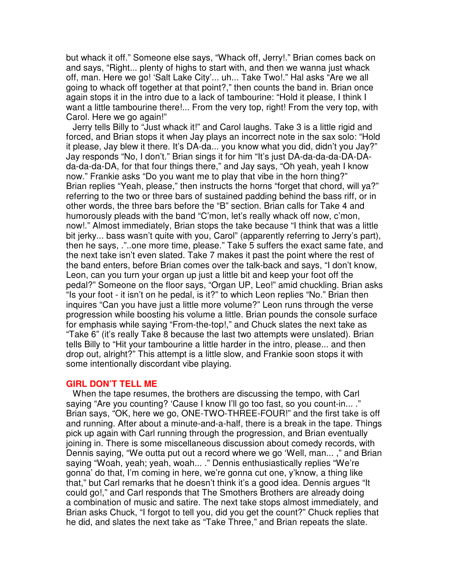but whack it off." Someone else says, "Whack off, Jerry!." Brian comes back on and says, "Right... plenty of highs to start with, and then we wanna just whack off, man. Here we go! 'Salt Lake City'... uh... Take Two!." Hal asks "Are we all going to whack off together at that point?," then counts the band in. Brian once again stops it in the intro due to a lack of tambourine: "Hold it please, I think I want a little tambourine there!... From the very top, right! From the very top, with Carol. Here we go again!"

Jerry tells Billy to "Just whack it!" and Carol laughs. Take 3 is a little rigid and forced, and Brian stops it when Jay plays an incorrect note in the sax solo: "Hold it please, Jay blew it there. It's DA-da... you know what you did, didn't you Jay?" Jay responds "No, I don't." Brian sings it for him "It's just DA-da-da-da-DA-DAda-da-da-DA, for that four things there," and Jay says, "Oh yeah, yeah I know now." Frankie asks "Do you want me to play that vibe in the horn thing?" Brian replies "Yeah, please," then instructs the horns "forget that chord, will ya?" referring to the two or three bars of sustained padding behind the bass riff, or in other words, the three bars before the "B" section. Brian calls for Take 4 and humorously pleads with the band "C'mon, let's really whack off now, c'mon, now!." Almost immediately, Brian stops the take because "I think that was a little bit jerky... bass wasn't quite with you, Carol" (apparently referring to Jerry's part), then he says, ."..one more time, please." Take 5 suffers the exact same fate, and the next take isn't even slated. Take 7 makes it past the point where the rest of the band enters, before Brian comes over the talk-back and says, "I don't know, Leon, can you turn your organ up just a little bit and keep your foot off the pedal?" Someone on the floor says, "Organ UP, Leo!" amid chuckling. Brian asks "Is your foot - it isn't on he pedal, is it?" to which Leon replies "No." Brian then inquires "Can you have just a little more volume?" Leon runs through the verse progression while boosting his volume a little. Brian pounds the console surface for emphasis while saying "From-the-top!," and Chuck slates the next take as "Take 6" (it's really Take 8 because the last two attempts were unslated). Brian tells Billy to "Hit your tambourine a little harder in the intro, please... and then drop out, alright?" This attempt is a little slow, and Frankie soon stops it with some intentionally discordant vibe playing.

#### **GIRL DON'T TELL ME**

When the tape resumes, the brothers are discussing the tempo, with Carl saying "Are you counting? 'Cause I know I'll go too fast, so you count-in... ." Brian says, "OK, here we go, ONE-TWO-THREE-FOUR!" and the first take is off and running. After about a minute-and-a-half, there is a break in the tape. Things pick up again with Carl running through the progression, and Brian eventually joining in. There is some miscellaneous discussion about comedy records, with Dennis saying, "We outta put out a record where we go 'Well, man... ," and Brian saying "Woah, yeah; yeah, woah... ." Dennis enthusiastically replies "We're gonna' do that, I'm coming in here, we're gonna cut one, y'know, a thing like that," but Carl remarks that he doesn't think it's a good idea. Dennis argues "It could go!," and Carl responds that The Smothers Brothers are already doing a combination of music and satire. The next take stops almost immediately, and Brian asks Chuck, "I forgot to tell you, did you get the count?" Chuck replies that he did, and slates the next take as "Take Three," and Brian repeats the slate.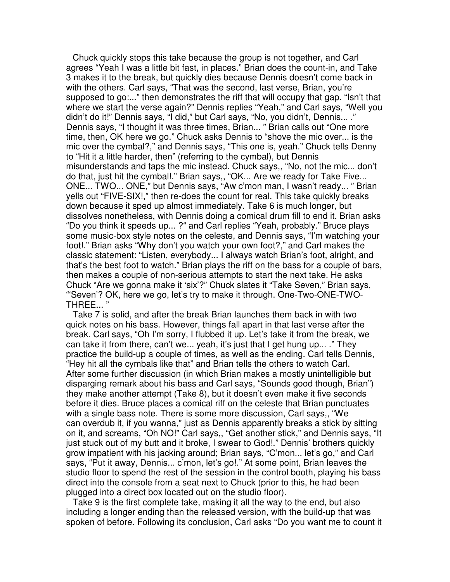Chuck quickly stops this take because the group is not together, and Carl agrees "Yeah I was a little bit fast, in places." Brian does the count-in, and Take 3 makes it to the break, but quickly dies because Dennis doesn't come back in with the others. Carl says, "That was the second, last verse, Brian, you're supposed to go:..." then demonstrates the riff that will occupy that gap. "Isn't that where we start the verse again?" Dennis replies "Yeah," and Carl says, "Well you didn't do it!" Dennis says, "I did," but Carl says, "No, you didn't, Dennis... ." Dennis says, "I thought it was three times, Brian... " Brian calls out "One more time, then, OK here we go." Chuck asks Dennis to "shove the mic over... is the mic over the cymbal?," and Dennis says, "This one is, yeah." Chuck tells Denny to "Hit it a little harder, then" (referring to the cymbal), but Dennis misunderstands and taps the mic instead. Chuck says,, "No, not the mic... don't do that, just hit the cymbal!." Brian says,, "OK... Are we ready for Take Five... ONE... TWO... ONE," but Dennis says, "Aw c'mon man, I wasn't ready... " Brian yells out "FIVE-SIX!," then re-does the count for real. This take quickly breaks down because it sped up almost immediately. Take 6 is much longer, but dissolves nonetheless, with Dennis doing a comical drum fill to end it. Brian asks "Do you think it speeds up... ?" and Carl replies "Yeah, probably." Bruce plays some music-box style notes on the celeste, and Dennis says, "I'm watching your foot!." Brian asks "Why don't you watch your own foot?," and Carl makes the classic statement: "Listen, everybody... I always watch Brian's foot, alright, and that's the best foot to watch." Brian plays the riff on the bass for a couple of bars, then makes a couple of non-serious attempts to start the next take. He asks Chuck "Are we gonna make it 'six'?" Chuck slates it "Take Seven," Brian says, "'Seven'? OK, here we go, let's try to make it through. One-Two-ONE-TWO-THREE... "

Take 7 is solid, and after the break Brian launches them back in with two quick notes on his bass. However, things fall apart in that last verse after the break. Carl says, "Oh I'm sorry, I flubbed it up. Let's take it from the break, we can take it from there, can't we... yeah, it's just that I get hung up... ." They practice the build-up a couple of times, as well as the ending. Carl tells Dennis, "Hey hit all the cymbals like that" and Brian tells the others to watch Carl. After some further discussion (in which Brian makes a mostly unintelligible but disparging remark about his bass and Carl says, "Sounds good though, Brian") they make another attempt (Take 8), but it doesn't even make it five seconds before it dies. Bruce places a comical riff on the celeste that Brian punctuates with a single bass note. There is some more discussion, Carl says,, "We can overdub it, if you wanna," just as Dennis apparently breaks a stick by sitting on it, and screams, "Oh NO!" Carl says,, "Get another stick," and Dennis says, "It just stuck out of my butt and it broke, I swear to God!." Dennis' brothers quickly grow impatient with his jacking around; Brian says, "C'mon... let's go," and Carl says, "Put it away, Dennis... c'mon, let's go!." At some point, Brian leaves the studio floor to spend the rest of the session in the control booth, playing his bass direct into the console from a seat next to Chuck (prior to this, he had been plugged into a direct box located out on the studio floor).

Take 9 is the first complete take, making it all the way to the end, but also including a longer ending than the released version, with the build-up that was spoken of before. Following its conclusion, Carl asks "Do you want me to count it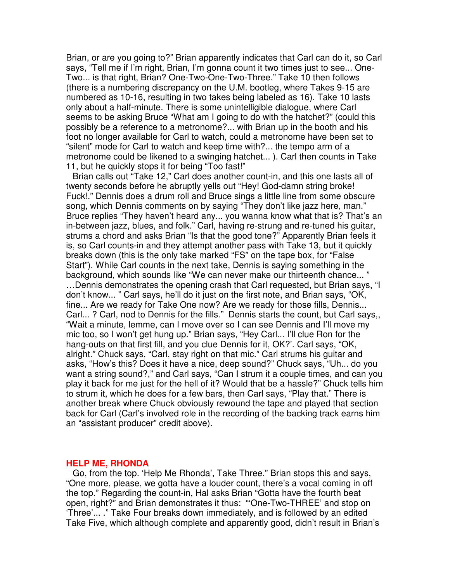Brian, or are you going to?" Brian apparently indicates that Carl can do it, so Carl says, "Tell me if I'm right, Brian, I'm gonna count it two times just to see... One-Two... is that right, Brian? One-Two-One-Two-Three." Take 10 then follows (there is a numbering discrepancy on the U.M. bootleg, where Takes 9-15 are numbered as 10-16, resulting in two takes being labeled as 16). Take 10 lasts only about a half-minute. There is some unintelligible dialogue, where Carl seems to be asking Bruce "What am I going to do with the hatchet?" (could this possibly be a reference to a metronome?... with Brian up in the booth and his foot no longer available for Carl to watch, could a metronome have been set to "silent" mode for Carl to watch and keep time with?... the tempo arm of a metronome could be likened to a swinging hatchet... ). Carl then counts in Take 11, but he quickly stops it for being "Too fast!"

Brian calls out "Take 12," Carl does another count-in, and this one lasts all of twenty seconds before he abruptly yells out "Hey! God-damn string broke! Fuck!." Dennis does a drum roll and Bruce sings a little line from some obscure song, which Dennis comments on by saying "They don't like jazz here, man." Bruce replies "They haven't heard any... you wanna know what that is? That's an in-between jazz, blues, and folk." Carl, having re-strung and re-tuned his guitar, strums a chord and asks Brian "Is that the good tone?" Apparently Brian feels it is, so Carl counts-in and they attempt another pass with Take 13, but it quickly breaks down (this is the only take marked "FS" on the tape box, for "False Start"). While Carl counts in the next take, Dennis is saying something in the background, which sounds like "We can never make our thirteenth chance... " …Dennis demonstrates the opening crash that Carl requested, but Brian says, "I don't know... " Carl says, he'll do it just on the first note, and Brian says, "OK, fine... Are we ready for Take One now? Are we ready for those fills, Dennis... Carl... ? Carl, nod to Dennis for the fills." Dennis starts the count, but Carl says,, "Wait a minute, lemme, can I move over so I can see Dennis and I'll move my mic too, so I won't get hung up." Brian says, "Hey Carl... I'll clue Ron for the hang-outs on that first fill, and you clue Dennis for it, OK?'. Carl says, "OK, alright." Chuck says, "Carl, stay right on that mic." Carl strums his guitar and asks, "How's this? Does it have a nice, deep sound?" Chuck says, "Uh... do you want a string sound?," and Carl says, "Can I strum it a couple times, and can you play it back for me just for the hell of it? Would that be a hassle?" Chuck tells him to strum it, which he does for a few bars, then Carl says, "Play that." There is another break where Chuck obviously rewound the tape and played that section back for Carl (Carl's involved role in the recording of the backing track earns him an "assistant producer" credit above).

#### **HELP ME, RHONDA**

Go, from the top. 'Help Me Rhonda', Take Three." Brian stops this and says, "One more, please, we gotta have a louder count, there's a vocal coming in off the top." Regarding the count-in, Hal asks Brian "Gotta have the fourth beat open, right?" and Brian demonstrates it thus: "'One-Two-THREE' and stop on 'Three'... ." Take Four breaks down immediately, and is followed by an edited Take Five, which although complete and apparently good, didn't result in Brian's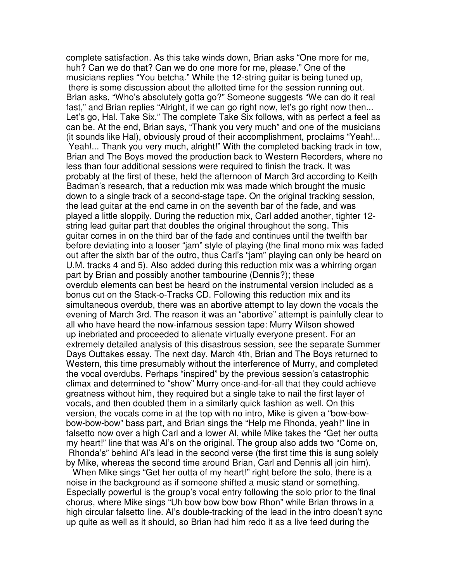complete satisfaction. As this take winds down, Brian asks "One more for me, huh? Can we do that? Can we do one more for me, please." One of the musicians replies "You betcha." While the 12-string guitar is being tuned up, there is some discussion about the allotted time for the session running out. Brian asks, "Who's absolutely gotta go?" Someone suggests "We can do it real fast," and Brian replies "Alright, if we can go right now, let's go right now then... Let's go, Hal. Take Six." The complete Take Six follows, with as perfect a feel as can be. At the end, Brian says, "Thank you very much" and one of the musicians (it sounds like Hal), obviously proud of their accomplishment, proclaims "Yeah!... Yeah!... Thank you very much, alright!" With the completed backing track in tow, Brian and The Boys moved the production back to Western Recorders, where no less than four additional sessions were required to finish the track. It was probably at the first of these, held the afternoon of March 3rd according to Keith Badman's research, that a reduction mix was made which brought the music down to a single track of a second-stage tape. On the original tracking session, the lead guitar at the end came in on the seventh bar of the fade, and was played a little sloppily. During the reduction mix, Carl added another, tighter 12 string lead guitar part that doubles the original throughout the song. This guitar comes in on the third bar of the fade and continues until the twelfth bar before deviating into a looser "jam" style of playing (the final mono mix was faded out after the sixth bar of the outro, thus Carl's "jam" playing can only be heard on U.M. tracks 4 and 5). Also added during this reduction mix was a whirring organ part by Brian and possibly another tambourine (Dennis?); these overdub elements can best be heard on the instrumental version included as a bonus cut on the Stack-o-Tracks CD. Following this reduction mix and its simultaneous overdub, there was an abortive attempt to lay down the vocals the evening of March 3rd. The reason it was an "abortive" attempt is painfully clear to all who have heard the now-infamous session tape: Murry Wilson showed up inebriated and proceeded to alienate virtually everyone present. For an extremely detailed analysis of this disastrous session, see the separate Summer Days Outtakes essay. The next day, March 4th, Brian and The Boys returned to Western, this time presumably without the interference of Murry, and completed the vocal overdubs. Perhaps "inspired" by the previous session's catastrophic climax and determined to "show" Murry once-and-for-all that they could achieve greatness without him, they required but a single take to nail the first layer of vocals, and then doubled them in a similarly quick fashion as well. On this version, the vocals come in at the top with no intro, Mike is given a "bow-bowbow-bow-bow" bass part, and Brian sings the "Help me Rhonda, yeah!" line in falsetto now over a high Carl and a lower Al, while Mike takes the "Get her outta my heart!" line that was Al's on the original. The group also adds two "Come on, Rhonda's" behind Al's lead in the second verse (the first time this is sung solely by Mike, whereas the second time around Brian, Carl and Dennis all join him).

When Mike sings "Get her outta of my heart!" right before the solo, there is a noise in the background as if someone shifted a music stand or something. Especially powerful is the group's vocal entry following the solo prior to the final chorus, where Mike sings "Uh bow bow bow bow Rhon" while Brian throws in a high circular falsetto line. Al's double-tracking of the lead in the intro doesn't sync up quite as well as it should, so Brian had him redo it as a live feed during the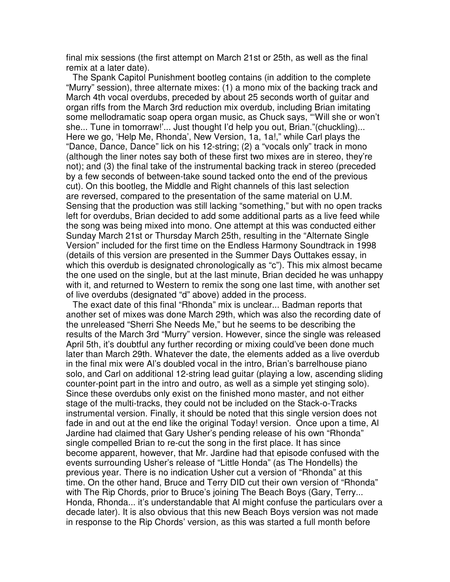final mix sessions (the first attempt on March 21st or 25th, as well as the final remix at a later date).

The Spank Capitol Punishment bootleg contains (in addition to the complete "Murry" session), three alternate mixes: (1) a mono mix of the backing track and March 4th vocal overdubs, preceded by about 25 seconds worth of guitar and organ riffs from the March 3rd reduction mix overdub, including Brian imitating some mellodramatic soap opera organ music, as Chuck says, "'Will she or won't she... Tune in tomorraw!'... Just thought I'd help you out, Brian."(chuckling)... Here we go, 'Help Me, Rhonda', New Version, 1a, 1a!," while Carl plays the "Dance, Dance, Dance" lick on his 12-string; (2) a "vocals only" track in mono (although the liner notes say both of these first two mixes are in stereo, they're not); and (3) the final take of the instrumental backing track in stereo (preceded by a few seconds of between-take sound tacked onto the end of the previous cut). On this bootleg, the Middle and Right channels of this last selection are reversed, compared to the presentation of the same material on U.M. Sensing that the production was still lacking "something," but with no open tracks left for overdubs, Brian decided to add some additional parts as a live feed while the song was being mixed into mono. One attempt at this was conducted either Sunday March 21st or Thursday March 25th, resulting in the "Alternate Single Version" included for the first time on the Endless Harmony Soundtrack in 1998 (details of this version are presented in the Summer Days Outtakes essay, in which this overdub is designated chronologically as "c"). This mix almost became the one used on the single, but at the last minute, Brian decided he was unhappy with it, and returned to Western to remix the song one last time, with another set of live overdubs (designated "d" above) added in the process.

The exact date of this final "Rhonda" mix is unclear... Badman reports that another set of mixes was done March 29th, which was also the recording date of the unreleased "Sherri She Needs Me," but he seems to be describing the results of the March 3rd "Murry" version. However, since the single was released April 5th, it's doubtful any further recording or mixing could've been done much later than March 29th. Whatever the date, the elements added as a live overdub in the final mix were Al's doubled vocal in the intro, Brian's barrelhouse piano solo, and Carl on additional 12-string lead guitar (playing a low, ascending sliding counter-point part in the intro and outro, as well as a simple yet stinging solo). Since these overdubs only exist on the finished mono master, and not either stage of the multi-tracks, they could not be included on the Stack-o-Tracks instrumental version. Finally, it should be noted that this single version does not fade in and out at the end like the original Today! version. Once upon a time, Al Jardine had claimed that Gary Usher's pending release of his own "Rhonda" single compelled Brian to re-cut the song in the first place. It has since become apparent, however, that Mr. Jardine had that episode confused with the events surrounding Usher's release of "Little Honda" (as The Hondells) the previous year. There is no indication Usher cut a version of "Rhonda" at this time. On the other hand, Bruce and Terry DID cut their own version of "Rhonda" with The Rip Chords, prior to Bruce's joining The Beach Boys (Gary, Terry... Honda, Rhonda... it's understandable that Al might confuse the particulars over a decade later). It is also obvious that this new Beach Boys version was not made in response to the Rip Chords' version, as this was started a full month before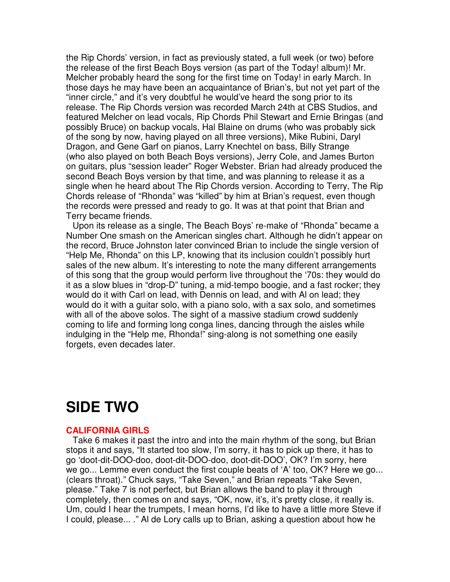the Rip Chords' version, in fact as previously stated, a full week (or two) before the release of the first Beach Boys version (as part of the Today! album)! Mr. Melcher probably heard the song for the first time on Today! in early March. In those days he may have been an acquaintance of Brian's, but not yet part of the "inner circle," and it's very doubtful he would've heard the song prior to its release. The Rip Chords version was recorded March 24th at CBS Studios, and featured Melcher on lead vocals, Rip Chords Phil Stewart and Ernie Bringas (and possibly Bruce) on backup vocals, Hal Blaine on drums (who was probably sick of the song by now, having played on all three versions), Mike Rubini, Daryl Dragon, and Gene Garf on pianos, Larry Knechtel on bass, Billy Strange (who also played on both Beach Boys versions), Jerry Cole, and James Burton on guitars, plus "session leader" Roger Webster. Brian had already produced the second Beach Boys version by that time, and was planning to release it as a single when he heard about The Rip Chords version. According to Terry, The Rip Chords release of "Rhonda" was "killed" by him at Brian's request, even though the records were pressed and ready to go. It was at that point that Brian and Terry became friends.

Upon its release as a single, The Beach Boys' re-make of "Rhonda" became a Number One smash on the American singles chart. Although he didn't appear on the record, Bruce Johnston later convinced Brian to include the single version of "Help Me, Rhonda" on this LP, knowing that its inclusion couldn't possibly hurt sales of the new album. It's interesting to note the many different arrangements of this song that the group would perform live throughout the '70s: they would do it as a slow blues in "drop-D" tuning, a mid-tempo boogie, and a fast rocker; they would do it with Carl on lead, with Dennis on lead, and with Al on lead; they would do it with a guitar solo, with a piano solo, with a sax solo, and sometimes with all of the above solos. The sight of a massive stadium crowd suddenly coming to life and forming long conga lines, dancing through the aisles while indulging in the "Help me, Rhonda!" sing-along is not something one easily forgets, even decades later.

### **SIDE TWO**

### **CALIFORNIA GIRLS**

Take 6 makes it past the intro and into the main rhythm of the song, but Brian stops it and says, "It started too slow, I'm sorry, it has to pick up there, it has to go 'doot-dit-DOO-doo, doot-dit-DOO-doo, doot-dit-DOO', OK? I'm sorry, here we go... Lemme even conduct the first couple beats of 'A' too, OK? Here we go... (clears throat)." Chuck says, "Take Seven," and Brian repeats "Take Seven, please." Take 7 is not perfect, but Brian allows the band to play it through completely, then comes on and says, "OK, now, it's, it's pretty close, it really is. Um, could I hear the trumpets, I mean horns, I'd like to have a little more Steve if I could, please... ." Al de Lory calls up to Brian, asking a question about how he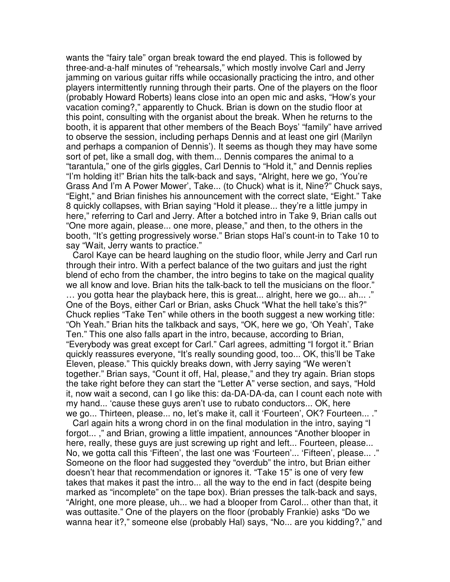wants the "fairy tale" organ break toward the end played. This is followed by three-and-a-half minutes of "rehearsals," which mostly involve Carl and Jerry jamming on various guitar riffs while occasionally practicing the intro, and other players intermittently running through their parts. One of the players on the floor (probably Howard Roberts) leans close into an open mic and asks, "How's your vacation coming?," apparently to Chuck. Brian is down on the studio floor at this point, consulting with the organist about the break. When he returns to the booth, it is apparent that other members of the Beach Boys' "family" have arrived to observe the session, including perhaps Dennis and at least one girl (Marilyn and perhaps a companion of Dennis'). It seems as though they may have some sort of pet, like a small dog, with them... Dennis compares the animal to a "tarantula," one of the girls giggles, Carl Dennis to "Hold it," and Dennis replies "I'm holding it!" Brian hits the talk-back and says, "Alright, here we go, 'You're Grass And I'm A Power Mower', Take... (to Chuck) what is it, Nine?" Chuck says, "Eight," and Brian finishes his announcement with the correct slate, "Eight." Take 8 quickly collapses, with Brian saying "Hold it please... they're a little jumpy in here," referring to Carl and Jerry. After a botched intro in Take 9, Brian calls out "One more again, please... one more, please," and then, to the others in the booth, "It's getting progressively worse." Brian stops Hal's count-in to Take 10 to say "Wait, Jerry wants to practice."

Carol Kaye can be heard laughing on the studio floor, while Jerry and Carl run through their intro. With a perfect balance of the two guitars and just the right blend of echo from the chamber, the intro begins to take on the magical quality we all know and love. Brian hits the talk-back to tell the musicians on the floor." … you gotta hear the playback here, this is great... alright, here we go... ah... ." One of the Boys, either Carl or Brian, asks Chuck "What the hell take's this?" Chuck replies "Take Ten" while others in the booth suggest a new working title: "Oh Yeah." Brian hits the talkback and says, "OK, here we go, 'Oh Yeah', Take Ten." This one also falls apart in the intro, because, according to Brian, "Everybody was great except for Carl." Carl agrees, admitting "I forgot it." Brian quickly reassures everyone, "It's really sounding good, too... OK, this'll be Take Eleven, please." This quickly breaks down, with Jerry saying "We weren't together." Brian says, "Count it off, Hal, please," and they try again. Brian stops the take right before they can start the "Letter A" verse section, and says, "Hold it, now wait a second, can I go like this: da-DA-DA-da, can I count each note with my hand... 'cause these guys aren't use to rubato conductors... OK, here we go... Thirteen, please... no, let's make it, call it 'Fourteen', OK? Fourteen... ."

Carl again hits a wrong chord in on the final modulation in the intro, saying "I forgot... ," and Brian, growing a little impatient, announces "Another blooper in here, really, these guys are just screwing up right and left... Fourteen, please... No, we gotta call this 'Fifteen', the last one was 'Fourteen'... 'Fifteen', please... ." Someone on the floor had suggested they "overdub" the intro, but Brian either doesn't hear that recommendation or ignores it. "Take 15" is one of very few takes that makes it past the intro... all the way to the end in fact (despite being marked as "incomplete" on the tape box). Brian presses the talk-back and says, "Alright, one more please, uh... we had a blooper from Carol... other than that, it was outtasite." One of the players on the floor (probably Frankie) asks "Do we wanna hear it?," someone else (probably Hal) says, "No... are you kidding?," and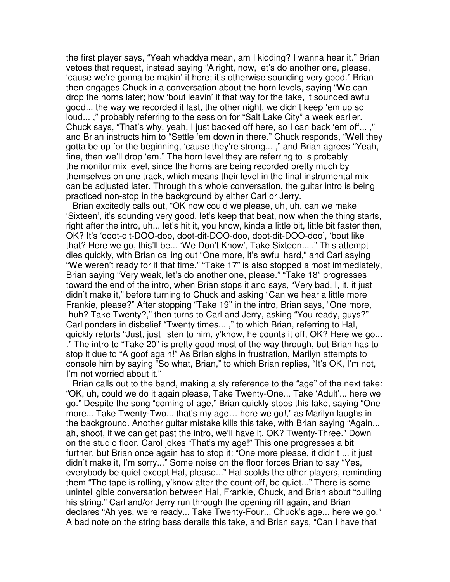the first player says, "Yeah whaddya mean, am I kidding? I wanna hear it." Brian vetoes that request, instead saying "Alright, now, let's do another one, please, 'cause we're gonna be makin' it here; it's otherwise sounding very good." Brian then engages Chuck in a conversation about the horn levels, saying "We can drop the horns later; how 'bout leavin' it that way for the take, it sounded awful good... the way we recorded it last, the other night, we didn't keep 'em up so loud... ," probably referring to the session for "Salt Lake City" a week earlier. Chuck says, "That's why, yeah, I just backed off here, so I can back 'em off... ," and Brian instructs him to "Settle 'em down in there." Chuck responds, "Well they gotta be up for the beginning, 'cause they're strong... ," and Brian agrees "Yeah, fine, then we'll drop 'em." The horn level they are referring to is probably the monitor mix level, since the horns are being recorded pretty much by themselves on one track, which means their level in the final instrumental mix can be adjusted later. Through this whole conversation, the guitar intro is being practiced non-stop in the background by either Carl or Jerry.

Brian excitedly calls out, "OK now could we please, uh, uh, can we make 'Sixteen', it's sounding very good, let's keep that beat, now when the thing starts, right after the intro, uh... let's hit it, you know, kinda a little bit, little bit faster then, OK? It's 'doot-dit-DOO-doo, doot-dit-DOO-doo, doot-dit-DOO-doo', 'bout like that? Here we go, this'll be... 'We Don't Know', Take Sixteen... ." This attempt dies quickly, with Brian calling out "One more, it's awful hard," and Carl saying "We weren't ready for it that time." "Take 17" is also stopped almost immediately, Brian saying "Very weak, let's do another one, please." "Take 18" progresses toward the end of the intro, when Brian stops it and says, "Very bad, I, it, it just didn't make it," before turning to Chuck and asking "Can we hear a little more Frankie, please?" After stopping "Take 19" in the intro, Brian says, "One more, huh? Take Twenty?," then turns to Carl and Jerry, asking "You ready, guys?" Carl ponders in disbelief "Twenty times... ," to which Brian, referring to Hal, quickly retorts "Just, just listen to him, y'know, he counts it off, OK? Here we go... ." The intro to "Take 20" is pretty good most of the way through, but Brian has to stop it due to "A goof again!" As Brian sighs in frustration, Marilyn attempts to console him by saying "So what, Brian," to which Brian replies, "It's OK, I'm not, I'm not worried about it."

Brian calls out to the band, making a sly reference to the "age" of the next take: "OK, uh, could we do it again please, Take Twenty-One... Take 'Adult'... here we go." Despite the song "coming of age," Brian quickly stops this take, saying "One more... Take Twenty-Two... that's my age… here we go!," as Marilyn laughs in the background. Another guitar mistake kills this take, with Brian saying "Again... ah, shoot, if we can get past the intro, we'll have it. OK? Twenty-Three." Down on the studio floor, Carol jokes "That's my age!" This one progresses a bit further, but Brian once again has to stop it: "One more please, it didn't ... it just didn't make it, I'm sorry..." Some noise on the floor forces Brian to say "Yes, everybody be quiet except Hal, please..." Hal scolds the other players, reminding them "The tape is rolling, y'know after the count-off, be quiet..." There is some unintelligible conversation between Hal, Frankie, Chuck, and Brian about "pulling his string." Carl and/or Jerry run through the opening riff again, and Brian declares "Ah yes, we're ready... Take Twenty-Four... Chuck's age... here we go." A bad note on the string bass derails this take, and Brian says, "Can I have that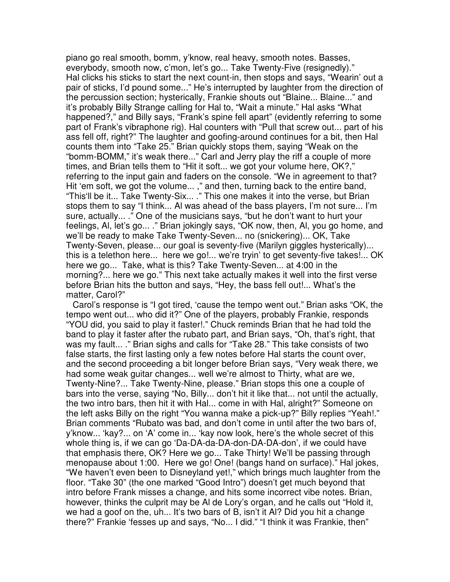piano go real smooth, bomm, y'know, real heavy, smooth notes. Basses, everybody, smooth now, c'mon, let's go... Take Twenty-Five (resignedly)." Hal clicks his sticks to start the next count-in, then stops and says, "Wearin' out a pair of sticks, I'd pound some..." He's interrupted by laughter from the direction of the percussion section; hysterically, Frankie shouts out "Blaine... Blaine..." and it's probably Billy Strange calling for Hal to, "Wait a minute." Hal asks "What happened?," and Billy says, "Frank's spine fell apart" (evidently referring to some part of Frank's vibraphone rig). Hal counters with "Pull that screw out... part of his ass fell off, right?" The laughter and goofing-around continues for a bit, then Hal counts them into "Take 25." Brian quickly stops them, saying "Weak on the "bomm-BOMM," it's weak there..." Carl and Jerry play the riff a couple of more times, and Brian tells them to "Hit it soft... we got your volume here, OK?," referring to the input gain and faders on the console. "We in agreement to that? Hit 'em soft, we got the volume... ," and then, turning back to the entire band, "This'll be it... Take Twenty-Six... ." This one makes it into the verse, but Brian stops them to say "I think... Al was ahead of the bass players, I'm not sure... I'm sure, actually... ." One of the musicians says, "but he don't want to hurt your feelings, Al, let's go... ." Brian jokingly says, "OK now, then, Al, you go home, and we'll be ready to make Take Twenty-Seven... no (snickering)... OK, Take Twenty-Seven, please... our goal is seventy-five (Marilyn giggles hysterically)... this is a telethon here... here we go!... we're tryin' to get seventy-five takes!... OK here we go... Take, what is this? Take Twenty-Seven... at 4:00 in the morning?... here we go." This next take actually makes it well into the first verse before Brian hits the button and says, "Hey, the bass fell out!... What's the matter, Carol?"

Carol's response is "I got tired, 'cause the tempo went out." Brian asks "OK, the tempo went out... who did it?" One of the players, probably Frankie, responds "YOU did, you said to play it faster!." Chuck reminds Brian that he had told the band to play it faster after the rubato part, and Brian says, "Oh, that's right, that was my fault... ." Brian sighs and calls for "Take 28." This take consists of two false starts, the first lasting only a few notes before Hal starts the count over, and the second proceeding a bit longer before Brian says, "Very weak there, we had some weak guitar changes... well we're almost to Thirty, what are we, Twenty-Nine?... Take Twenty-Nine, please." Brian stops this one a couple of bars into the verse, saying "No, Billy... don't hit it like that... not until the actually, the two intro bars, then hit it with Hal... come in with Hal, alright?" Someone on the left asks Billy on the right "You wanna make a pick-up?" Billy replies "Yeah!." Brian comments "Rubato was bad, and don't come in until after the two bars of, y'know... 'kay?... on 'A' come in... 'kay now look, here's the whole secret of this whole thing is, if we can go 'Da-DA-da-DA-don-DA-DA-don', if we could have that emphasis there, OK? Here we go... Take Thirty! We'll be passing through menopause about 1:00. Here we go! One! (bangs hand on surface)." Hal jokes, "We haven't even been to Disneyland yet!," which brings much laughter from the floor. "Take 30" (the one marked "Good Intro") doesn't get much beyond that intro before Frank misses a change, and hits some incorrect vibe notes. Brian, however, thinks the culprit may be Al de Lory's organ, and he calls out "Hold it, we had a goof on the, uh... It's two bars of B, isn't it Al? Did you hit a change there?" Frankie 'fesses up and says, "No... I did." "I think it was Frankie, then"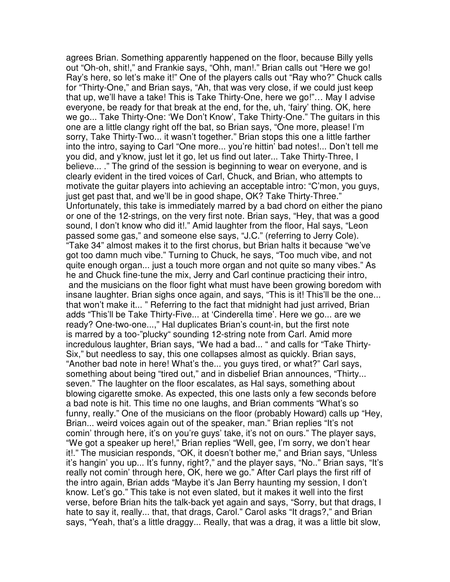agrees Brian. Something apparently happened on the floor, because Billy yells out "Oh-oh, shit!," and Frankie says, "Ohh, man!." Brian calls out "Here we go! Ray's here, so let's make it!" One of the players calls out "Ray who?" Chuck calls for "Thirty-One," and Brian says, "Ah, that was very close, if we could just keep that up, we'll have a take! This is Take Thirty-One, here we go!"… May I advise everyone, be ready for that break at the end, for the, uh, 'fairy' thing. OK, here we go... Take Thirty-One: 'We Don't Know', Take Thirty-One." The guitars in this one are a little clangy right off the bat, so Brian says, "One more, please! I'm sorry, Take Thirty-Two... it wasn't together." Brian stops this one a little farther into the intro, saying to Carl "One more... you're hittin' bad notes!... Don't tell me you did, and y'know, just let it go, let us find out later... Take Thirty-Three, I believe... ." The grind of the session is beginning to wear on everyone, and is clearly evident in the tired voices of Carl, Chuck, and Brian, who attempts to motivate the guitar players into achieving an acceptable intro: "C'mon, you guys, just get past that, and we'll be in good shape, OK? Take Thirty-Three." Unfortunately, this take is immediately marred by a bad chord on either the piano or one of the 12-strings, on the very first note. Brian says, "Hey, that was a good sound, I don't know who did it!." Amid laughter from the floor, Hal says, "Leon passed some gas," and someone else says, "J.C." (referring to Jerry Cole). "Take 34" almost makes it to the first chorus, but Brian halts it because "we've got too damn much vibe." Turning to Chuck, he says, "Too much vibe, and not quite enough organ... just a touch more organ and not quite so many vibes." As he and Chuck fine-tune the mix, Jerry and Carl continue practicing their intro, and the musicians on the floor fight what must have been growing boredom with insane laughter. Brian sighs once again, and says, "This is it! This'll be the one... that won't make it... " Referring to the fact that midnight had just arrived, Brian adds "This'll be Take Thirty-Five... at 'Cinderella time'. Here we go... are we ready? One-two-one...," Hal duplicates Brian's count-in, but the first note is marred by a too-"plucky" sounding 12-string note from Carl. Amid more incredulous laughter, Brian says, "We had a bad... " and calls for "Take Thirty-Six," but needless to say, this one collapses almost as quickly. Brian says, "Another bad note in here! What's the... you guys tired, or what?" Carl says, something about being "tired out," and in disbelief Brian announces, "Thirty... seven." The laughter on the floor escalates, as Hal says, something about blowing cigarette smoke. As expected, this one lasts only a few seconds before a bad note is hit. This time no one laughs, and Brian comments "What's so funny, really." One of the musicians on the floor (probably Howard) calls up "Hey, Brian... weird voices again out of the speaker, man." Brian replies "It's not comin' through here, it's on you're guys' take, it's not on ours." The player says, "We got a speaker up here!," Brian replies "Well, gee, I'm sorry, we don't hear it!." The musician responds, "OK, it doesn't bother me," and Brian says, "Unless it's hangin' you up... It's funny, right?," and the player says, "No.." Brian says, "It's really not comin' through here, OK, here we go." After Carl plays the first riff of the intro again, Brian adds "Maybe it's Jan Berry haunting my session, I don't know. Let's go." This take is not even slated, but it makes it well into the first verse, before Brian hits the talk-back yet again and says, "Sorry, but that drags, I hate to say it, really... that, that drags, Carol." Carol asks "It drags?," and Brian says, "Yeah, that's a little draggy... Really, that was a drag, it was a little bit slow,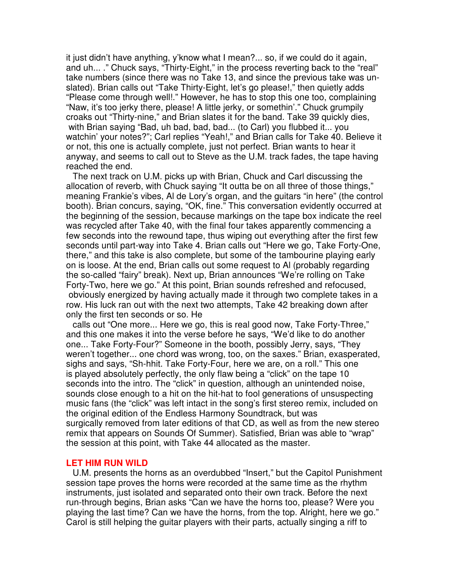it just didn't have anything, y'know what I mean?... so, if we could do it again, and uh... ." Chuck says, "Thirty-Eight," in the process reverting back to the "real" take numbers (since there was no Take 13, and since the previous take was unslated). Brian calls out "Take Thirty-Eight, let's go please!," then quietly adds "Please come through well!." However, he has to stop this one too, complaining "Naw, it's too jerky there, please! A little jerky, or somethin'." Chuck grumpily croaks out "Thirty-nine," and Brian slates it for the band. Take 39 quickly dies, with Brian saying "Bad, uh bad, bad, bad... (to Carl) you flubbed it... you watchin' your notes?"; Carl replies "Yeah!," and Brian calls for Take 40. Believe it or not, this one is actually complete, just not perfect. Brian wants to hear it anyway, and seems to call out to Steve as the U.M. track fades, the tape having reached the end.

The next track on U.M. picks up with Brian, Chuck and Carl discussing the allocation of reverb, with Chuck saying "It outta be on all three of those things," meaning Frankie's vibes, Al de Lory's organ, and the guitars "in here" (the control booth). Brian concurs, saying, "OK, fine." This conversation evidently occurred at the beginning of the session, because markings on the tape box indicate the reel was recycled after Take 40, with the final four takes apparently commencing a few seconds into the rewound tape, thus wiping out everything after the first few seconds until part-way into Take 4. Brian calls out "Here we go, Take Forty-One, there," and this take is also complete, but some of the tambourine playing early on is loose. At the end, Brian calls out some request to Al (probably regarding the so-called "fairy" break). Next up, Brian announces "We're rolling on Take Forty-Two, here we go." At this point, Brian sounds refreshed and refocused, obviously energized by having actually made it through two complete takes in a row. His luck ran out with the next two attempts, Take 42 breaking down after only the first ten seconds or so. He

calls out "One more... Here we go, this is real good now, Take Forty-Three," and this one makes it into the verse before he says, "We'd like to do another one... Take Forty-Four?" Someone in the booth, possibly Jerry, says, "They weren't together... one chord was wrong, too, on the saxes." Brian, exasperated, sighs and says, "Sh-hhit. Take Forty-Four, here we are, on a roll." This one is played absolutely perfectly, the only flaw being a "click" on the tape 10 seconds into the intro. The "click" in question, although an unintended noise, sounds close enough to a hit on the hit-hat to fool generations of unsuspecting music fans (the "click" was left intact in the song's first stereo remix, included on the original edition of the Endless Harmony Soundtrack, but was surgically removed from later editions of that CD, as well as from the new stereo remix that appears on Sounds Of Summer). Satisfied, Brian was able to "wrap" the session at this point, with Take 44 allocated as the master.

#### **LET HIM RUN WILD**

U.M. presents the horns as an overdubbed "Insert," but the Capitol Punishment session tape proves the horns were recorded at the same time as the rhythm instruments, just isolated and separated onto their own track. Before the next run-through begins, Brian asks "Can we have the horns too, please? Were you playing the last time? Can we have the horns, from the top. Alright, here we go." Carol is still helping the guitar players with their parts, actually singing a riff to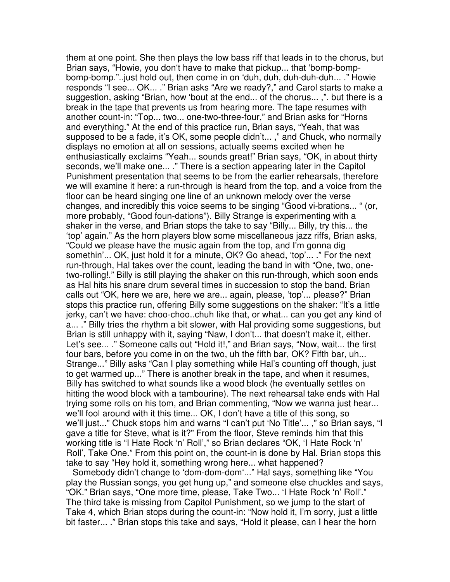them at one point. She then plays the low bass riff that leads in to the chorus, but Brian says, "Howie, you don't have to make that pickup... that 'bomp-bompbomp-bomp."..just hold out, then come in on 'duh, duh, duh-duh-duh... ." Howie responds "I see... OK... ." Brian asks "Are we ready?," and Carol starts to make a suggestion, asking "Brian, how 'bout at the end... of the chorus... ,". but there is a break in the tape that prevents us from hearing more. The tape resumes with another count-in: "Top... two... one-two-three-four," and Brian asks for "Horns and everything." At the end of this practice run, Brian says, "Yeah, that was supposed to be a fade, it's OK, some people didn't... ," and Chuck, who normally displays no emotion at all on sessions, actually seems excited when he enthusiastically exclaims "Yeah... sounds great!" Brian says, "OK, in about thirty seconds, we'll make one... ." There is a section appearing later in the Capitol Punishment presentation that seems to be from the earlier rehearsals, therefore we will examine it here: a run-through is heard from the top, and a voice from the floor can be heard singing one line of an unknown melody over the verse changes, and incredibly this voice seems to be singing "Good vi-brations... " (or, more probably, "Good foun-dations"). Billy Strange is experimenting with a shaker in the verse, and Brian stops the take to say "Billy... Billy, try this... the 'top' again." As the horn players blow some miscellaneous jazz riffs, Brian asks, "Could we please have the music again from the top, and I'm gonna dig somethin'... OK, just hold it for a minute, OK? Go ahead, 'top'... ." For the next run-through, Hal takes over the count, leading the band in with "One, two, onetwo-rolling!." Billy is still playing the shaker on this run-through, which soon ends as Hal hits his snare drum several times in succession to stop the band. Brian calls out "OK, here we are, here we are... again, please, 'top'... please?" Brian stops this practice run, offering Billy some suggestions on the shaker: "It's a little jerky, can't we have: choo-choo..chuh like that, or what... can you get any kind of a... ." Billy tries the rhythm a bit slower, with Hal providing some suggestions, but Brian is still unhappy with it, saying "Naw, I don't... that doesn't make it, either. Let's see... ." Someone calls out "Hold it!," and Brian says, "Now, wait... the first four bars, before you come in on the two, uh the fifth bar, OK? Fifth bar, uh... Strange..." Billy asks "Can I play something while Hal's counting off though, just to get warmed up..." There is another break in the tape, and when it resumes, Billy has switched to what sounds like a wood block (he eventually settles on hitting the wood block with a tambourine). The next rehearsal take ends with Hal trying some rolls on his tom, and Brian commenting, "Now we wanna just hear... we'll fool around with it this time... OK, I don't have a title of this song, so we'll just..." Chuck stops him and warns "I can't put 'No Title'... ," so Brian says, "I gave a title for Steve, what is it?" From the floor, Steve reminds him that this working title is "I Hate Rock 'n' Roll'," so Brian declares "OK, 'I Hate Rock 'n' Roll', Take One." From this point on, the count-in is done by Hal. Brian stops this take to say "Hey hold it, something wrong here... what happened?

Somebody didn't change to 'dom-dom-dom'..." Hal says, something like "You play the Russian songs, you get hung up," and someone else chuckles and says, "OK." Brian says, "One more time, please, Take Two... 'I Hate Rock 'n' Roll'." The third take is missing from Capitol Punishment, so we jump to the start of Take 4, which Brian stops during the count-in: "Now hold it, I'm sorry, just a little bit faster... ." Brian stops this take and says, "Hold it please, can I hear the horn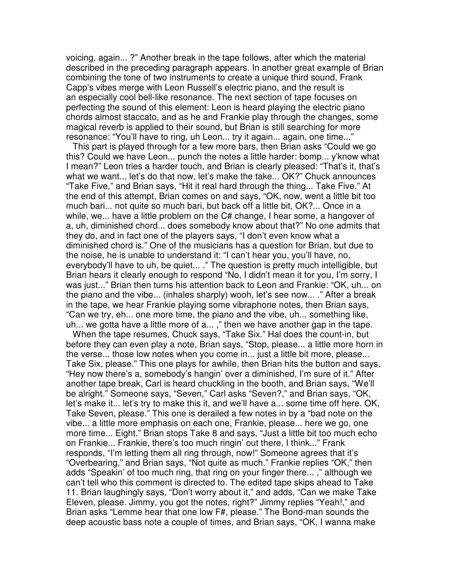voicing, again... ?" Another break in the tape follows, after which the material described in the preceding paragraph appears. In another great example of Brian combining the tone of two instruments to create a unique third sound, Frank Capp's vibes merge with Leon Russell's electric piano, and the result is an especially cool bell-like resonance. The next section of tape focuses on perfecting the sound of this element: Leon is heard playing the electric piano chords almost staccato, and as he and Frankie play through the changes, some magical reverb is applied to their sound, but Brian is still searching for more resonance: "You'll have to ring, uh Leon... try it again... again, one time..."

This part is played through for a few more bars, then Brian asks "Could we go this? Could we have Leon... punch the notes a little harder: bomp... y'know what I mean?" Leon tries a harder touch, and Brian is clearly pleased: "That's it, that's what we want... let's do that now, let's make the take... OK?" Chuck announces "Take Five," and Brian says, "Hit it real hard through the thing... Take Five." At the end of this attempt, Brian comes on and says, "OK, now, went a little bit too much bari... not quite so much bari, but back off a little bit, OK?... Once in a while, we... have a little problem on the C# change, I hear some, a hangover of a, uh, diminished chord... does somebody know about that?" No one admits that they do, and in fact one of the players says, "I don't even know what a diminished chord is." One of the musicians has a question for Brian, but due to the noise, he is unable to understand it: "I can't hear you, you'll have, no, everybody'll have to uh, be quiet... ." The question is pretty much intelligible, but Brian hears it clearly enough to respond "No, I didn't mean it for you, I'm sorry, I was just..." Brian then turns his attention back to Leon and Frankie: "OK, uh... on the piano and the vibe... (inhales sharply) wooh, let's see now... ." After a break in the tape, we hear Frankie playing some vibraphone notes, then Brian says, "Can we try, eh... one more time, the piano and the vibe, uh... something like, uh... we gotta have a little more of a... ," then we have another gap in the tape.

When the tape resumes, Chuck says, "Take Six." Hal does the count-in, but before they can even play a note, Brian says, "Stop, please... a little more horn in the verse... those low notes when you come in... just a little bit more, please... Take Six, please." This one plays for awhile, then Brian hits the button and says, "Hey now there's a, somebody's hangin' over a diminished, I'm sure of it." After another tape break, Carl is heard chuckling in the booth, and Brian says, "We'll be alright." Someone says, "Seven," Carl asks "Seven?," and Brian says, "OK, let's make it... let's try to make this it, and we'll have a... some time off here. OK, Take Seven, please." This one is derailed a few notes in by a "bad note on the vibe... a little more emphasis on each one, Frankie, please... here we go, one more time... Eight." Brian stops Take 8 and says, "Just a little bit too much echo on Frankie... Frankie, there's too much ringin' out there, I think..." Frank responds, "I'm letting them all ring through, now!" Someone agrees that it's "Overbearing," and Brian says, "Not quite as much." Frankie replies "OK," then adds "Speakin' of too much ring, that ring on your finger there... ," although we can't tell who this comment is directed to. The edited tape skips ahead to Take 11. Brian laughingly says, "Don't worry about it," and adds, "Can we make Take Eleven, please. Jimmy, you got the notes, right?" Jimmy replies "Yeah!," and Brian asks "Lemme hear that one low F#, please." The Bond-man sounds the deep acoustic bass note a couple of times, and Brian says, "OK, I wanna make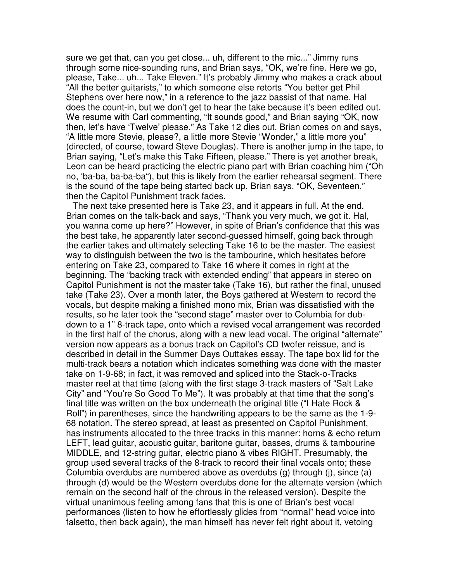sure we get that, can you get close... uh, different to the mic..." Jimmy runs through some nice-sounding runs, and Brian says, "OK, we're fine. Here we go, please, Take... uh... Take Eleven." It's probably Jimmy who makes a crack about "All the better guitarists," to which someone else retorts "You better get Phil Stephens over here now," in a reference to the jazz bassist of that name. Hal does the count-in, but we don't get to hear the take because it's been edited out. We resume with Carl commenting, "It sounds good," and Brian saying "OK, now then, let's have 'Twelve' please." As Take 12 dies out, Brian comes on and says, "A little more Stevie, please?, a little more Stevie "Wonder," a little more you" (directed, of course, toward Steve Douglas). There is another jump in the tape, to Brian saying, "Let's make this Take Fifteen, please." There is yet another break, Leon can be heard practicing the electric piano part with Brian coaching him ("Oh no, 'ba-ba, ba-ba-ba"), but this is likely from the earlier rehearsal segment. There is the sound of the tape being started back up, Brian says, "OK, Seventeen," then the Capitol Punishment track fades.

The next take presented here is Take 23, and it appears in full. At the end. Brian comes on the talk-back and says, "Thank you very much, we got it. Hal, you wanna come up here?" However, in spite of Brian's confidence that this was the best take, he apparently later second-guessed himself, going back through the earlier takes and ultimately selecting Take 16 to be the master. The easiest way to distinguish between the two is the tambourine, which hesitates before entering on Take 23, compared to Take 16 where it comes in right at the beginning. The "backing track with extended ending" that appears in stereo on Capitol Punishment is not the master take (Take 16), but rather the final, unused take (Take 23). Over a month later, the Boys gathered at Western to record the vocals, but despite making a finished mono mix, Brian was dissatisfied with the results, so he later took the "second stage" master over to Columbia for dubdown to a 1" 8-track tape, onto which a revised vocal arrangement was recorded in the first half of the chorus, along with a new lead vocal. The original "alternate" version now appears as a bonus track on Capitol's CD twofer reissue, and is described in detail in the Summer Days Outtakes essay. The tape box lid for the multi-track bears a notation which indicates something was done with the master take on 1-9-68; in fact, it was removed and spliced into the Stack-o-Tracks master reel at that time (along with the first stage 3-track masters of "Salt Lake City" and "You're So Good To Me"). It was probably at that time that the song's final title was written on the box underneath the original title ("I Hate Rock & Roll") in parentheses, since the handwriting appears to be the same as the 1-9- 68 notation. The stereo spread, at least as presented on Capitol Punishment, has instruments allocated to the three tracks in this manner: horns & echo return LEFT, lead guitar, acoustic guitar, baritone guitar, basses, drums & tambourine MIDDLE, and 12-string guitar, electric piano & vibes RIGHT. Presumably, the group used several tracks of the 8-track to record their final vocals onto; these Columbia overdubs are numbered above as overdubs (g) through (j), since (a) through (d) would be the Western overdubs done for the alternate version (which remain on the second half of the chrous in the released version). Despite the virtual unanimous feeling among fans that this is one of Brian's best vocal performances (listen to how he effortlessly glides from "normal" head voice into falsetto, then back again), the man himself has never felt right about it, vetoing